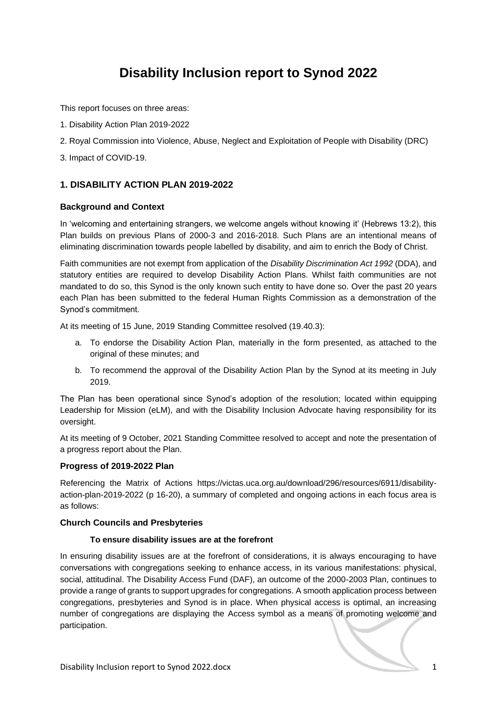# **Disability Inclusion report to Synod 2022**

This report focuses on three areas:

- 1. Disability Action Plan 2019-2022
- 2. Royal Commission into Violence, Abuse, Neglect and Exploitation of People with Disability (DRC)
- 3. Impact of COVID-19.

# **1. DISABILITY ACTION PLAN 2019-2022**

## **Background and Context**

In 'welcoming and entertaining strangers, we welcome angels without knowing it' (Hebrews 13:2), this Plan builds on previous Plans of 2000-3 and 2016-2018. Such Plans are an intentional means of eliminating discrimination towards people labelled by disability, and aim to enrich the Body of Christ.

Faith communities are not exempt from application of the *Disability Discrimination Act 1992* (DDA), and statutory entities are required to develop Disability Action Plans. Whilst faith communities are not mandated to do so, this Synod is the only known such entity to have done so. Over the past 20 years each Plan has been submitted to the federal Human Rights Commission as a demonstration of the Synod's commitment.

At its meeting of 15 June, 2019 Standing Committee resolved (19.40.3):

- a. To endorse the Disability Action Plan, materially in the form presented, as attached to the original of these minutes; and
- b. To recommend the approval of the Disability Action Plan by the Synod at its meeting in July 2019.

The Plan has been operational since Synod's adoption of the resolution; located within equipping Leadership for Mission (eLM), and with the Disability Inclusion Advocate having responsibility for its oversight.

At its meeting of 9 October, 2021 Standing Committee resolved to accept and note the presentation of a progress report about the Plan.

#### **Progress of 2019-2022 Plan**

Referencing the Matrix of Actions [https://victas.uca.org.au/download/296/resources/6911/disability](https://victas.uca.org.au/download/296/resources/6911/disability-action-plan-2019-2022)[action-plan-2019-2022](https://victas.uca.org.au/download/296/resources/6911/disability-action-plan-2019-2022) (p 16-20), a summary of completed and ongoing actions in each focus area is as follows:

#### **Church Councils and Presbyteries**

#### **To ensure disability issues are at the forefront**

In ensuring disability issues are at the forefront of considerations, it is always encouraging to have conversations with congregations seeking to enhance access, in its various manifestations: physical, social, attitudinal. The Disability Access Fund (DAF), an outcome of the 2000-2003 Plan, continues to provide a range of grants to support upgrades for congregations. A smooth application process between congregations, presbyteries and Synod is in place. When physical access is optimal, an increasing number of congregations are displaying the Access symbol as a means of promoting welcome and participation.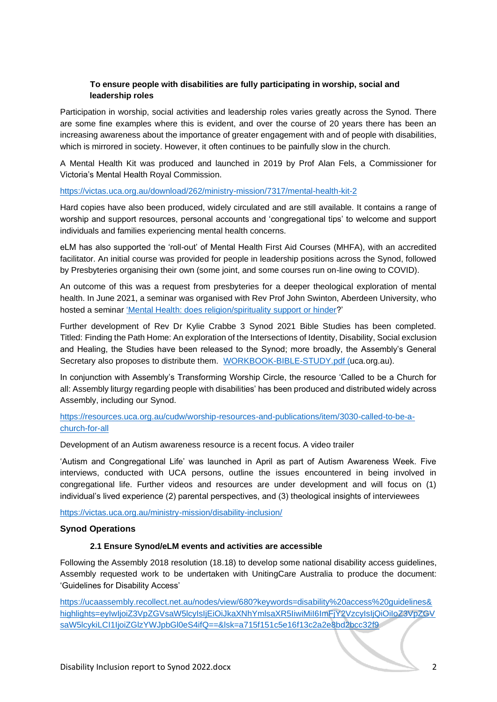## **To ensure people with disabilities are fully participating in worship, social and leadership roles**

Participation in worship, social activities and leadership roles varies greatly across the Synod. There are some fine examples where this is evident, and over the course of 20 years there has been an increasing awareness about the importance of greater engagement with and of people with disabilities, which is mirrored in society. However, it often continues to be painfully slow in the church.

A Mental Health Kit was produced and launched in 2019 by Prof Alan Fels, a Commissioner for Victoria's Mental Health Royal Commission.

#### <https://victas.uca.org.au/download/262/ministry-mission/7317/mental-health-kit-2>

Hard copies have also been produced, widely circulated and are still available. It contains a range of worship and support resources, personal accounts and 'congregational tips' to welcome and support individuals and families experiencing mental health concerns.

eLM has also supported the 'roll-out' of Mental Health First Aid Courses (MHFA), with an accredited facilitator. An initial course was provided for people in leadership positions across the Synod, followed by Presbyteries organising their own (some joint, and some courses run on-line owing to COVID).

An outcome of this was a request from presbyteries for a deeper theological exploration of mental health. In June 2021, a seminar was organised with Rev Prof John Swinton, Aberdeen University, who hosted a seminar ['Mental Health: does religion/spirituality support or hinder?](https://vimeo.com/574665405)'

Further development of Rev Dr Kylie Crabbe 3 Synod 2021 Bible Studies has been completed. Titled: Finding the Path Home: An exploration of the Intersections of Identity, Disability, Social exclusion and Healing, the Studies have been released to the Synod; more broadly, the Assembly's General Secretary also proposes to distribute them. [WORKBOOK-BIBLE-STUDY.pdf \(uca.org.au\).](https://victas.uca.org.au/wp-content/uploads/2022/03/WORKBOOK-BIBLE-STUDY.pdf)

In conjunction with Assembly's Transforming Worship Circle, the resource 'Called to be a Church for all: Assembly liturgy regarding people with disabilities' has been produced and distributed widely across Assembly, including our Synod.

## [https://resources.uca.org.au/cudw/worship-resources-and-publications/item/3030-called-to-be-a](https://resources.uca.org.au/cudw/worship-resources-and-publications/item/3030-called-to-be-a-church-for-all)[church-for-all](https://resources.uca.org.au/cudw/worship-resources-and-publications/item/3030-called-to-be-a-church-for-all)

Development of an Autism awareness resource is a recent focus. A video trailer

'Autism and Congregational Life' was launched in April as part of Autism Awareness Week. Five interviews, conducted with UCA persons, outline the issues encountered in being involved in congregational life. Further videos and resources are under development and will focus on (1) individual's lived experience (2) parental perspectives, and (3) theological insights of interviewees

[https://victas.uca.org.au/ministry-mission/disability-inclusion/](https://victas.uca.org.au/ministry-mission/disability-inclusion)

#### **Synod Operations**

#### **2.1 Ensure Synod/eLM events and activities are accessible**

Following the Assembly 2018 resolution (18.18) to develop some national disability access guidelines, Assembly requested work to be undertaken with UnitingCare Australia to produce the document: 'Guidelines for Disability Access'

[https://ucaassembly.recollect.net.au/nodes/view/680?keywords=disability%20access%20guidelines&](https://ucaassembly.recollect.net.au/nodes/view/680?keywords=disability%20access%20guidelines&highlights=eyIwIjoiZ3VpZGVsaW5lcyIsIjEiOiJkaXNhYmlsaXR5IiwiMiI6ImFjY2VzcyIsIjQiOiIoZ3VpZGVsaW5lcykiLCI1IjoiZGlzYWJpbGl0eS4ifQ==&lsk=a715f151c5e16f13c2a2e8bd2bcc32f9) [highlights=eyIwIjoiZ3VpZGVsaW5lcyIsIjEiOiJkaXNhYmlsaXR5IiwiMiI6ImFjY2VzcyIsIjQiOiIoZ3VpZGV](https://ucaassembly.recollect.net.au/nodes/view/680?keywords=disability%20access%20guidelines&highlights=eyIwIjoiZ3VpZGVsaW5lcyIsIjEiOiJkaXNhYmlsaXR5IiwiMiI6ImFjY2VzcyIsIjQiOiIoZ3VpZGVsaW5lcykiLCI1IjoiZGlzYWJpbGl0eS4ifQ==&lsk=a715f151c5e16f13c2a2e8bd2bcc32f9) [saW5lcykiLCI1IjoiZGlzYWJpbGl0eS4ifQ==&lsk=a715f151c5e16f13c2a2e8bd2bcc32f9](https://ucaassembly.recollect.net.au/nodes/view/680?keywords=disability%20access%20guidelines&highlights=eyIwIjoiZ3VpZGVsaW5lcyIsIjEiOiJkaXNhYmlsaXR5IiwiMiI6ImFjY2VzcyIsIjQiOiIoZ3VpZGVsaW5lcykiLCI1IjoiZGlzYWJpbGl0eS4ifQ==&lsk=a715f151c5e16f13c2a2e8bd2bcc32f9)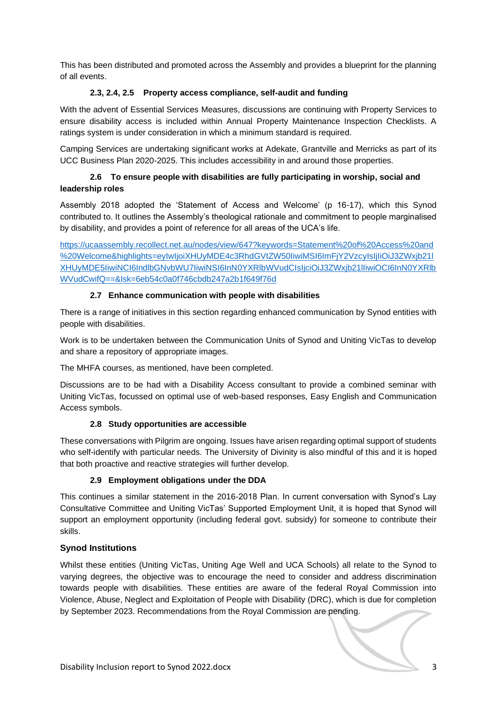This has been distributed and promoted across the Assembly and provides a blueprint for the planning of all events.

## **2.3, 2.4, 2.5 Property access compliance, self-audit and funding**

With the advent of Essential Services Measures, discussions are continuing with Property Services to ensure disability access is included within Annual Property Maintenance Inspection Checklists. A ratings system is under consideration in which a minimum standard is required.

Camping Services are undertaking significant works at Adekate, Grantville and Merricks as part of its UCC Business Plan 2020-2025. This includes accessibility in and around those properties.

# **2.6 To ensure people with disabilities are fully participating in worship, social and leadership roles**

Assembly 2018 adopted the 'Statement of Access and Welcome' (p 16-17), which this Synod contributed to. It outlines the Assembly's theological rationale and commitment to people marginalised by disability, and provides a point of reference for all areas of the UCA's life.

[https://ucaassembly.recollect.net.au/nodes/view/647?keywords=Statement%20of%20Access%20and](https://ucaassembly.recollect.net.au/nodes/view/647?keywords=Statement%20of%20Access%20and%20Welcome&highlights=eyIwIjoiXHUyMDE4c3RhdGVtZW50IiwiMSI6ImFjY2VzcyIsIjIiOiJ3ZWxjb21lXHUyMDE5IiwiNCI6IndlbGNvbWU7IiwiNSI6InN0YXRlbWVudCIsIjciOiJ3ZWxjb21lIiwiOCI6InN0YXRlbWVudCwifQ==&lsk=6eb54c0a0f746cbdb247a2b1f649f76d) [%20Welcome&highlights=eyIwIjoiXHUyMDE4c3RhdGVtZW50IiwiMSI6ImFjY2VzcyIsIjIiOiJ3ZWxjb21l](https://ucaassembly.recollect.net.au/nodes/view/647?keywords=Statement%20of%20Access%20and%20Welcome&highlights=eyIwIjoiXHUyMDE4c3RhdGVtZW50IiwiMSI6ImFjY2VzcyIsIjIiOiJ3ZWxjb21lXHUyMDE5IiwiNCI6IndlbGNvbWU7IiwiNSI6InN0YXRlbWVudCIsIjciOiJ3ZWxjb21lIiwiOCI6InN0YXRlbWVudCwifQ==&lsk=6eb54c0a0f746cbdb247a2b1f649f76d) [XHUyMDE5IiwiNCI6IndlbGNvbWU7IiwiNSI6InN0YXRlbWVudCIsIjciOiJ3ZWxjb21lIiwiOCI6InN0YXRlb](https://ucaassembly.recollect.net.au/nodes/view/647?keywords=Statement%20of%20Access%20and%20Welcome&highlights=eyIwIjoiXHUyMDE4c3RhdGVtZW50IiwiMSI6ImFjY2VzcyIsIjIiOiJ3ZWxjb21lXHUyMDE5IiwiNCI6IndlbGNvbWU7IiwiNSI6InN0YXRlbWVudCIsIjciOiJ3ZWxjb21lIiwiOCI6InN0YXRlbWVudCwifQ==&lsk=6eb54c0a0f746cbdb247a2b1f649f76d) [WVudCwifQ==&lsk=6eb54c0a0f746cbdb247a2b1f649f76d](https://ucaassembly.recollect.net.au/nodes/view/647?keywords=Statement%20of%20Access%20and%20Welcome&highlights=eyIwIjoiXHUyMDE4c3RhdGVtZW50IiwiMSI6ImFjY2VzcyIsIjIiOiJ3ZWxjb21lXHUyMDE5IiwiNCI6IndlbGNvbWU7IiwiNSI6InN0YXRlbWVudCIsIjciOiJ3ZWxjb21lIiwiOCI6InN0YXRlbWVudCwifQ==&lsk=6eb54c0a0f746cbdb247a2b1f649f76d)

# **2.7 Enhance communication with people with disabilities**

There is a range of initiatives in this section regarding enhanced communication by Synod entities with people with disabilities.

Work is to be undertaken between the Communication Units of Synod and Uniting VicTas to develop and share a repository of appropriate images.

The MHFA courses, as mentioned, have been completed.

Discussions are to be had with a Disability Access consultant to provide a combined seminar with Uniting VicTas, focussed on optimal use of web-based responses, Easy English and Communication Access symbols.

## **2.8 Study opportunities are accessible**

These conversations with Pilgrim are ongoing. Issues have arisen regarding optimal support of students who self-identify with particular needs. The University of Divinity is also mindful of this and it is hoped that both proactive and reactive strategies will further develop.

## **2.9 Employment obligations under the DDA**

This continues a similar statement in the 2016-2018 Plan. In current conversation with Synod's Lay Consultative Committee and Uniting VicTas' Supported Employment Unit, it is hoped that Synod will support an employment opportunity (including federal govt. subsidy) for someone to contribute their skills.

## **Synod Institutions**

Whilst these entities (Uniting VicTas, Uniting Age Well and UCA Schools) all relate to the Synod to varying degrees, the objective was to encourage the need to consider and address discrimination towards people with disabilities. These entities are aware of the federal Royal Commission into Violence, Abuse, Neglect and Exploitation of People with Disability (DRC), which is due for completion by September 2023. Recommendations from the Royal Commission are pending.